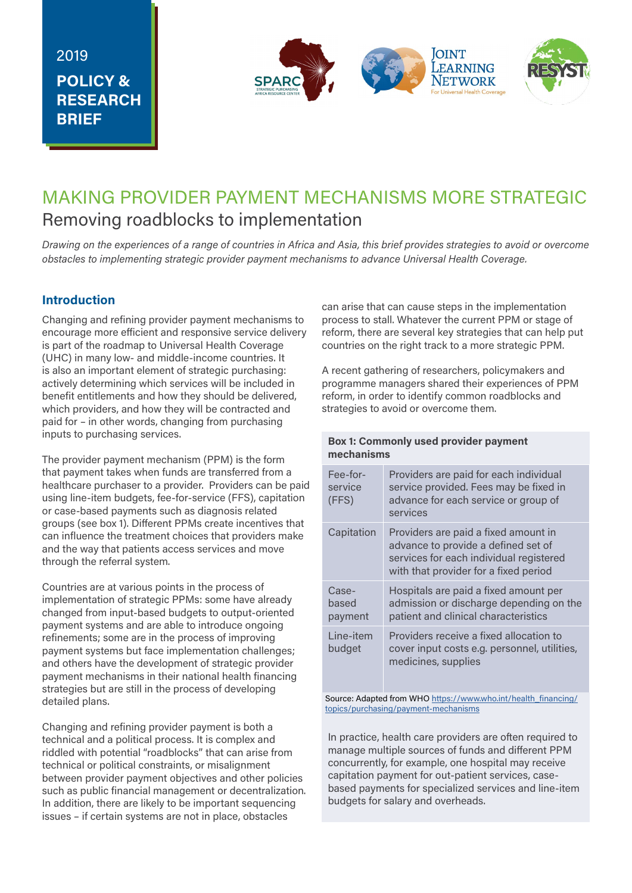## 2019 **POLICY & RESEARCH BRIEF**



## MAKING PROVIDER PAYMENT MECHANISMS MORE STRATEGIC Removing roadblocks to implementation

*Drawing on the experiences of a range of countries in Africa and Asia, this brief provides strategies to avoid or overcome obstacles to implementing strategic provider payment mechanisms to advance Universal Health Coverage.*

## **Introduction**

Changing and refining provider payment mechanisms to encourage more efficient and responsive service delivery is part of the roadmap to Universal Health Coverage (UHC) in many low‐ and middle‐income countries. It is also an important element of strategic purchasing: actively determining which services will be included in benefit entitlements and how they should be delivered, which providers, and how they will be contracted and paid for – in other words, changing from purchasing inputs to purchasing services.

The provider payment mechanism (PPM) is the form that payment takes when funds are transferred from a healthcare purchaser to a provider. Providers can be paid using line-item budgets, fee-for-service (FFS), capitation or case-based payments such as diagnosis related groups (see box 1). Different PPMs create incentives that can influence the treatment choices that providers make and the way that patients access services and move through the referral system.

Countries are at various points in the process of implementation of strategic PPMs: some have already changed from input‐based budgets to output‐oriented payment systems and are able to introduce ongoing refinements; some are in the process of improving payment systems but face implementation challenges; and others have the development of strategic provider payment mechanisms in their national health financing strategies but are still in the process of developing detailed plans.

Changing and refining provider payment is both a technical and a political process. It is complex and riddled with potential "roadblocks" that can arise from technical or political constraints, or misalignment between provider payment objectives and other policies such as public financial management or decentralization. In addition, there are likely to be important sequencing issues – if certain systems are not in place, obstacles

can arise that can cause steps in the implementation process to stall. Whatever the current PPM or stage of reform, there are several key strategies that can help put countries on the right track to a more strategic PPM.

A recent gathering of researchers, policymakers and programme managers shared their experiences of PPM reform, in order to identify common roadblocks and strategies to avoid or overcome them.

### **Box 1: Commonly used provider payment mechanisms**

| Fee-for-<br>service<br>(FFS) | Providers are paid for each individual<br>service provided. Fees may be fixed in<br>advance for each service or group of<br>services                            |
|------------------------------|-----------------------------------------------------------------------------------------------------------------------------------------------------------------|
| Capitation                   | Providers are paid a fixed amount in<br>advance to provide a defined set of<br>services for each individual registered<br>with that provider for a fixed period |
| Case-<br>based<br>payment    | Hospitals are paid a fixed amount per<br>admission or discharge depending on the<br>patient and clinical characteristics                                        |
| Line-item<br>budget          | Providers receive a fixed allocation to<br>cover input costs e.g. personnel, utilities,<br>medicines, supplies                                                  |

Source: Adapted from WHO [https://www.who.int/health\\_financing/](https://www.who.int/health_financing/topics/purchasing/payment-mechanisms) [topics/purchasing/payment-mechanisms](https://www.who.int/health_financing/topics/purchasing/payment-mechanisms)

In practice, health care providers are often required to manage multiple sources of funds and different PPM concurrently, for example, one hospital may receive capitation payment for out-patient services, casebased payments for specialized services and line-item budgets for salary and overheads.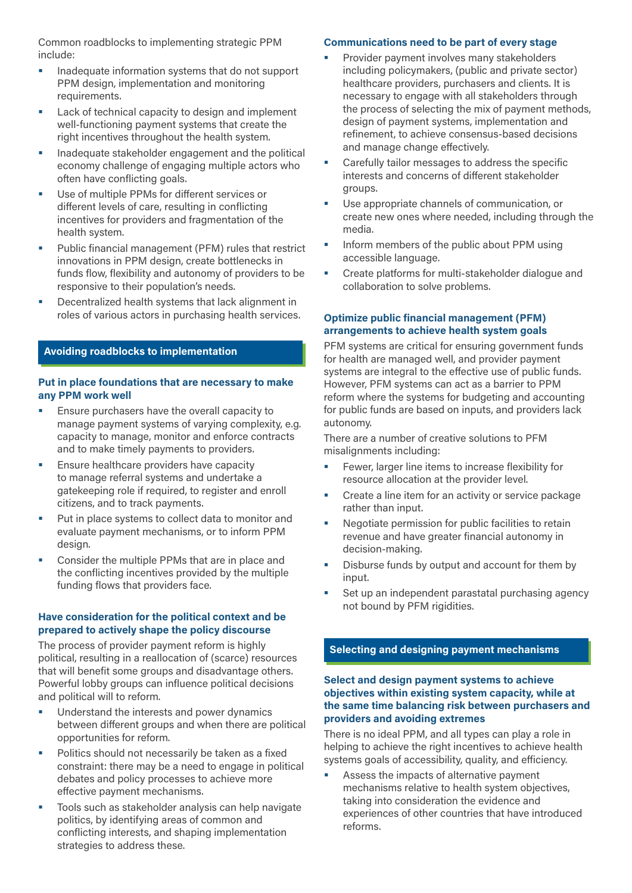Common roadblocks to implementing strategic PPM include:

- Inadequate information systems that do not support PPM design, implementation and monitoring requirements.
- Lack of technical capacity to design and implement well-functioning payment systems that create the right incentives throughout the health system.
- Inadequate stakeholder engagement and the political economy challenge of engaging multiple actors who often have conflicting goals.
- Use of multiple PPMs for different services or different levels of care, resulting in conflicting incentives for providers and fragmentation of the health system.
- Public financial management (PFM) rules that restrict innovations in PPM design, create bottlenecks in funds flow, flexibility and autonomy of providers to be responsive to their population's needs.
- Decentralized health systems that lack alignment in roles of various actors in purchasing health services.

#### **Avoiding roadblocks to implementation**

#### **Put in place foundations that are necessary to make any PPM work well**

- Ensure purchasers have the overall capacity to manage payment systems of varying complexity, e.g. capacity to manage, monitor and enforce contracts and to make timely payments to providers.
- Ensure healthcare providers have capacity to manage referral systems and undertake a gatekeeping role if required, to register and enroll citizens, and to track payments.
- Put in place systems to collect data to monitor and evaluate payment mechanisms, or to inform PPM design.
- Consider the multiple PPMs that are in place and the conflicting incentives provided by the multiple funding flows that providers face.

#### **Have consideration for the political context and be prepared to actively shape the policy discourse**

The process of provider payment reform is highly political, resulting in a reallocation of (scarce) resources that will benefit some groups and disadvantage others. Powerful lobby groups can influence political decisions and political will to reform.

- Understand the interests and power dynamics between different groups and when there are political opportunities for reform.
- Politics should not necessarily be taken as a fixed constraint: there may be a need to engage in political debates and policy processes to achieve more effective payment mechanisms.
- Tools such as stakeholder analysis can help navigate politics, by identifying areas of common and conflicting interests, and shaping implementation strategies to address these.

#### **Communications need to be part of every stage**

- Provider payment involves many stakeholders including policymakers, (public and private sector) healthcare providers, purchasers and clients. It is necessary to engage with all stakeholders through the process of selecting the mix of payment methods, design of payment systems, implementation and refinement, to achieve consensus-based decisions and manage change effectively.
- Carefully tailor messages to address the specific interests and concerns of different stakeholder groups.
- Use appropriate channels of communication, or create new ones where needed, including through the media.
- **Inform members of the public about PPM using** accessible language.
- Create platforms for multi-stakeholder dialogue and collaboration to solve problems.

#### **Optimize public financial management (PFM) arrangements to achieve health system goals**

PFM systems are critical for ensuring government funds for health are managed well, and provider payment systems are integral to the effective use of public funds. However, PFM systems can act as a barrier to PPM reform where the systems for budgeting and accounting for public funds are based on inputs, and providers lack autonomy.

There are a number of creative solutions to PFM misalignments including:

- **Fewer, larger line items to increase flexibility for** resource allocation at the provider level.
- **EXECT** Create a line item for an activity or service package rather than input.
- Negotiate permission for public facilities to retain revenue and have greater financial autonomy in decision-making.
- Disburse funds by output and account for them by input.
- Set up an independent parastatal purchasing agency not bound by PFM rigidities.

#### **Selecting and designing payment mechanisms**

#### **Select and design payment systems to achieve objectives within existing system capacity, while at the same time balancing risk between purchasers and providers and avoiding extremes**

There is no ideal PPM, and all types can play a role in helping to achieve the right incentives to achieve health systems goals of accessibility, quality, and efficiency.

 Assess the impacts of alternative payment mechanisms relative to health system objectives, taking into consideration the evidence and experiences of other countries that have introduced reforms.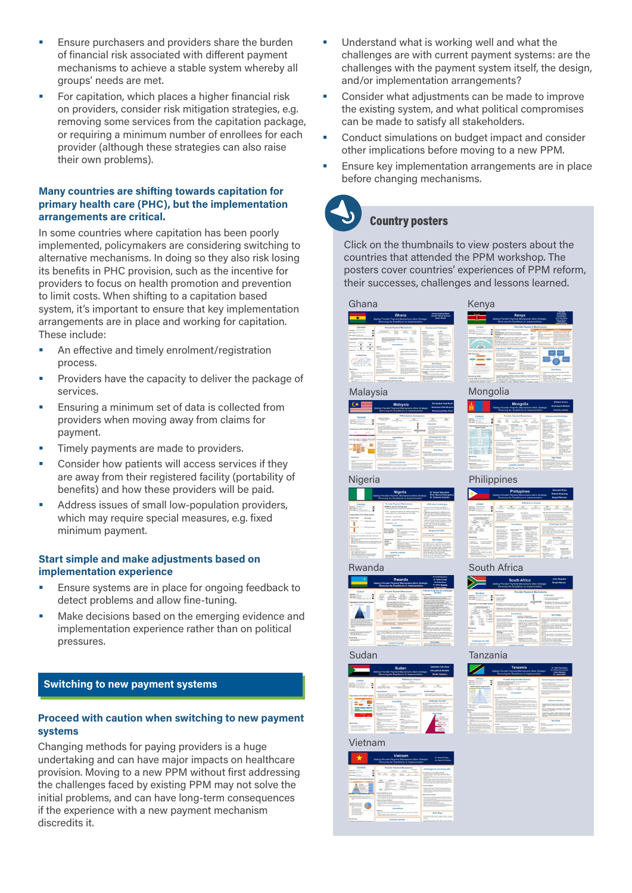- Ensure purchasers and providers share the burden of financial risk associated with different payment mechanisms to achieve a stable system whereby all groups' needs are met.
- For capitation, which places a higher financial risk on providers, consider risk mitigation strategies, e.g. removing some services from the capitation package, or requiring a minimum number of enrollees for each provider (although these strategies can also raise their own problems).

#### **Many countries are shifting towards capitation for primary health care (PHC), but the implementation arrangements are critical.**

In some countries where capitation has been poorly implemented, policymakers are considering switching to alternative mechanisms. In doing so they also risk losing its benefits in PHC provision, such as the incentive for providers to focus on health promotion and prevention to limit costs. When shifting to a capitation based system, it's important to ensure that key implementation arrangements are in place and working for capitation. These include:

- An effective and timely enrolment/registration process.
- Providers have the capacity to deliver the package of services.
- Ensuring a minimum set of data is collected from providers when moving away from claims for payment.
- Timely payments are made to providers.
- Consider how patients will access services if they are away from their registered facility (portability of benefits) and how these providers will be paid.
- Address issues of small low-population providers, which may require special measures, e.g. fixed minimum payment.

#### **Start simple and make adjustments based on implementation experience**

- Ensure systems are in place for ongoing feedback to detect problems and allow fine-tuning.
- Make decisions based on the emerging evidence and implementation experience rather than on political pressures.

#### **Switching to new payment systems**

#### **Proceed with caution when switching to new payment systems**

Changing methods for paying providers is a huge undertaking and can have major impacts on healthcare provision. Moving to a new PPM without first addressing the challenges faced by existing PPM may not solve the initial problems, and can have long-term consequences if the experience with a new payment mechanism discredits it.

- Understand what is working well and what the challenges are with current payment systems: are the challenges with the payment system itself, the design, and/or implementation arrangements?
- **EXECONS** Consider what adjustments can be made to improve the existing system, and what political compromises can be made to satisfy all stakeholders.
- Conduct simulations on budget impact and consider other implications before moving to a new PPM.
- Ensure key implementation arrangements are in place before changing mechanisms.

# Country posters

Click on the thumbnails to view posters about the countries that attended the PPM workshop. The posters cover countries' experiences of PPM reform, their successes, challenges and lessons learned.

#### Ghana Kenya

 $\circ$ **CONVERT** 

|                                                                                                                                                                                                                                                                                                                                                                                               | Francis Associational<br><b>Langant Abbars Anaman</b><br><b>James Abartt</b><br>Making Provider Payment Mechanisms Mars Strategic:<br>Removing the Roadblocks to Implementation                                                                                                                                                                                                                                                                                                                                                                |                                                                                                                                                                                                                                                                                                                                                                                                                                                                                                                                                                                                                |                                                                                                                                                                                                                                                                                                                                                                                                                                                                                                                                                                                                 |                                                                                                                                                                                                                                                                                                                                                                                                                                                                                                                                                          |  |
|-----------------------------------------------------------------------------------------------------------------------------------------------------------------------------------------------------------------------------------------------------------------------------------------------------------------------------------------------------------------------------------------------|------------------------------------------------------------------------------------------------------------------------------------------------------------------------------------------------------------------------------------------------------------------------------------------------------------------------------------------------------------------------------------------------------------------------------------------------------------------------------------------------------------------------------------------------|----------------------------------------------------------------------------------------------------------------------------------------------------------------------------------------------------------------------------------------------------------------------------------------------------------------------------------------------------------------------------------------------------------------------------------------------------------------------------------------------------------------------------------------------------------------------------------------------------------------|-------------------------------------------------------------------------------------------------------------------------------------------------------------------------------------------------------------------------------------------------------------------------------------------------------------------------------------------------------------------------------------------------------------------------------------------------------------------------------------------------------------------------------------------------------------------------------------------------|----------------------------------------------------------------------------------------------------------------------------------------------------------------------------------------------------------------------------------------------------------------------------------------------------------------------------------------------------------------------------------------------------------------------------------------------------------------------------------------------------------------------------------------------------------|--|
| Costeet-                                                                                                                                                                                                                                                                                                                                                                                      |                                                                                                                                                                                                                                                                                                                                                                                                                                                                                                                                                | <b>Provider Payment Mechanisms</b>                                                                                                                                                                                                                                                                                                                                                                                                                                                                                                                                                                             |                                                                                                                                                                                                                                                                                                                                                                                                                                                                                                                                                                                                 | <b>Success and Challenges</b>                                                                                                                                                                                                                                                                                                                                                                                                                                                                                                                            |  |
| <b>Republican District Local</b><br><b>SEPTEMBER 1979 FOR SHIP</b><br>×<br><b>Toll Game 314-130 Alex</b><br><b>MANAGEMENT</b><br>Engenisation of the Health System<br><b>School Face</b><br><b><i><u>SALES CALL</u></i></b><br><b>With and love</b><br>٠<br>$\sim$<br><b>Branch Country</b><br><b>Bestima's</b><br><b>Service States</b><br>∷<br>bended demonstrat exercises<br>Funding Finan | on this top diff<br>66 El<br><b>Mid-Al-New Street, Toronto</b><br><b>STATISTICS</b><br>__<br><b>STRICTURE RUSSIANISTS TO THOMAS</b><br>because this in principalment in these desired in them<br>be all the first property<br>--<br><b>Card Allen</b><br>The box PRocedure and an<br>a formular structure and<br><b>Service</b><br><b>An extending the control of the control of the con-</b><br>with a streety dealer in the local<br>$\sim$<br>. No entrancement ground and advance and<br>since catalogue to contact and a series<br>$\sim$ | $-10$<br>in me<br><b>ALL ARCHIVES</b><br>m<br>_<br><b>Sales</b><br>تنتنا<br>n.<br><b>Sandale</b><br>Innovations<br>Lt. 2018. To Nedscor Drug Prizes<br>Chees buying the parameter and<br>≕<br>a design that we want to con-<br>timely the second to see an<br>Ξ<br><b><i><u>Standard</u></i></b><br>have not always a hour a of<br>some of the av                                                                                                                                                                                                                                                              | Castleton<br><b>Business Company</b><br>a provinciamente del con-<br>all a second local advan-<br>ALC: NOW<br>a density experienced<br>potentials distant cars<br>and particularly and depot-<br><b>MONTHS &amp; STATE ROOM</b><br>. Brook streams when I had<br>a 49 alberta Chile or<br>the party detection of the property<br><b>STATISTICS</b><br><b>Electronic</b><br><b>College Ave</b><br>the statement containing<br>to the best being a week builder.<br>1. See primary of \$1.00<br>Madelphia in Ing.<br>a design announcement<br>straight in allen building straight<br><b>Salta</b> | <b>A A PROF</b><br><b>Accessor</b><br>a continuous and continues<br>exclusive at the course street<br>52<br>a department provided to believe<br><b>ALC AN</b><br>1. Postman promotive power<br>the technical states<br>projects of a providers of 1980s<br><b>EXHIBITION</b><br>between striker<br><b>Benderick Control</b><br><b>The Roman</b><br>a decision description condition<br>and a strengthene in which<br>----<br>. <b>Send distances</b><br><b>CONTRACTOR</b><br>1. Printed a selection on a state<br>≕                                      |  |
| Menitorine<br>----<br>. Subsidiary books for a partie forted of states<br>$-200$<br>leased involved and posted at environment in<br>dealership and control state.<br>and with the college of the<br>--<br>. If concerns furniture country is a<br><b>CARD 100</b><br>. We have extended hand point life!                                                                                      | 1. In this first property of an interest property at a series<br>Colorado a<br>1. Fair accommodate is make a she be-<br>$-0.00000$<br><b>SAN MAR</b><br>Score is below). Board for 17 X went<br>and the product of the control of the control of<br>The property that the first country of the country of the country<br>from modern and statement makes life at<br>the Windows                                                                                                                                                                | 1. Million dealer designed at the pro-<br>a concentration in company company and service<br>Antiques, 2014 Care Edit Anti-Antique<br><b>STATISTICS</b><br>1. In this party company is a problem of a large<br>pointed or with stated of streets at least<br>I because course a because a little a-<br>allow service at the first at any large<br>the decision stock top work start is at<br><b><i><u>Andre Electric Con-</u></i></b><br><b>Lessons Learned</b><br>/ Brobarbar of Caphalter policy should make tracks<br>a state builder with this case of externa was for trains as strat product builder that |                                                                                                                                                                                                                                                                                                                                                                                                                                                                                                                                                                                                 | <b>Newt Steel</b><br>1. Cashelan according to the WIA art around<br>consideration whose integrational as we control.<br>1. PRY substitute origining in 7 call of 10 mightnes<br>A final adapt annium and a support relationship of<br><b>Lauriana</b><br>. Detailed for the instance state company.<br>A. Packet procurement to be entertained to supply a of-<br>Some only its MID-Second Freitracks<br><b><i><u>American &amp; Business</u></i></b><br>A Deader reference of classic constitutibility come on the for-<br><b>NAMES AND DESCRIPTION</b> |  |



#### [Malaysia](https://resyst.lshtm.ac.uk/sites/resyst/files/content/attachments/2019-05-18/Malaysia.pdf) Mongolia

|                                                                                                                                                                                                                                                                                                                                                     |                                                                                                                                                                                                                                                                                                                                                                                                                                                                                                                                                                                                                                                                                                                        | <b>Mongolia</b><br>Making Provider Payment Mechanisms More Strategic<br>Removing the Roadblocks to Implementation                                                                                                                                                                                                                                                                                                                                                                                                                                                                                                                   |                                                                                                                                                                                                                                                                                                                                                                                                                                                                                                                                                                                                                    | <b>Baltimore Organiz</b><br><b>Environmental Bathavan</b><br>Gentinas Janson                                                                                                                                                                                                                                                                                                                                                                                                                                                                                                                                                    |
|-----------------------------------------------------------------------------------------------------------------------------------------------------------------------------------------------------------------------------------------------------------------------------------------------------------------------------------------------------|------------------------------------------------------------------------------------------------------------------------------------------------------------------------------------------------------------------------------------------------------------------------------------------------------------------------------------------------------------------------------------------------------------------------------------------------------------------------------------------------------------------------------------------------------------------------------------------------------------------------------------------------------------------------------------------------------------------------|-------------------------------------------------------------------------------------------------------------------------------------------------------------------------------------------------------------------------------------------------------------------------------------------------------------------------------------------------------------------------------------------------------------------------------------------------------------------------------------------------------------------------------------------------------------------------------------------------------------------------------------|--------------------------------------------------------------------------------------------------------------------------------------------------------------------------------------------------------------------------------------------------------------------------------------------------------------------------------------------------------------------------------------------------------------------------------------------------------------------------------------------------------------------------------------------------------------------------------------------------------------------|---------------------------------------------------------------------------------------------------------------------------------------------------------------------------------------------------------------------------------------------------------------------------------------------------------------------------------------------------------------------------------------------------------------------------------------------------------------------------------------------------------------------------------------------------------------------------------------------------------------------------------|
| Contact:                                                                                                                                                                                                                                                                                                                                            |                                                                                                                                                                                                                                                                                                                                                                                                                                                                                                                                                                                                                                                                                                                        | <b>Provider Payment Mechanisms</b>                                                                                                                                                                                                                                                                                                                                                                                                                                                                                                                                                                                                  |                                                                                                                                                                                                                                                                                                                                                                                                                                                                                                                                                                                                                    | <b>Success and Chatenose</b>                                                                                                                                                                                                                                                                                                                                                                                                                                                                                                                                                                                                    |
| <b>Sixter Commercial</b><br><b><i><u>Randolphian</u></i></b><br>ж<br><b>GOAT Crayfor</b><br><b>SCALE CARD</b><br><b>MARINE WA</b><br><b>THE SAIN</b><br>the Caracters Atlantas (PSLATS)<br>Orcanization and financing of the<br><b>Health System</b><br>. .<br>×<br><b>Call Service</b><br>control of                                               | <b>COL</b><br>$\sim$<br>--<br><b>STATISTICS</b><br>÷<br>$\sim$<br><b>CONTRACTOR</b><br><b>Carolina</b><br>and a series for complete<br>provided to the state family.<br>terms and she have a com-<br><b>STATISTICS</b><br>antique and a problem.<br>Basical MCAPEL<br>-----<br>=<br><b>Dealer works</b><br>1. Smally better these and has be a minimized of persons<br>them a state from these superiors at old consists.<br>wings in the disease way of<br><b>Innexations</b><br><b>Deposition Address for PROpriate</b><br>1. Benedict design conductors in processed and<br>good participations, subs if he<br>limit of the control which has been<br>in their demand builds.<br>The amendment's present in Million | $\sim$<br><b>STA</b><br><b>ASSESSED TO AN AVAILABLE</b><br>and most station<br><b>MARINEZ</b><br><b>STATE</b><br>the first product of the construction<br>1. And a subsequently the product<br>built britism site the late.<br>distant and the basis<br>and the company of the company<br>a contract industry provided<br>A several charge and street<br>And \$75 (Cold Avenue)<br><b>County Avenue</b><br><b>Schedule and all the continental decision</b><br>-<br>a formation and construction of the formation<br>halls done an experience environ-<br><b>Service</b><br>a continue from our structure.<br>Charles Company Corp. | <b>Business</b><br>Senator<br>Christmas to Printer<br>tunders' may 26.<br><b>Scient Paine motor</b><br><b>Photo Atlanta</b><br><b>Longia picarator</b><br>personal and control of the<br><b>CANNING ANOMINE</b><br>and control the state and<br><b>FOR REAL EQUATION</b><br>$-200$<br>a design company of the<br>carater aurest six in<br><b>SERVICE IN CONTRACTOR</b><br><b>CONTRACTOR</b><br><b>Service</b><br>- Statement between<br>products advisers to the party<br>a principal control of the<br>- beliefs does new car (ii)<br><b>CALL MATERIAL</b><br>proposition with the contrast.<br>and a lot for the | Chellenger<br><b>Contract for Ameri-</b><br>- President as a standard<br><b>STATISTICS</b><br>1. Budget sports and any way<br><b>College In Address</b><br><b>CONTRACTOR</b><br>a decoration service service<br>contact for select the<br>sing discussion in<br>$\sim$<br><b>Contractor</b><br>. And concilient installate alleged<br><b>Carlos construction</b><br>a the property in controller than<br>resisting contract from more<br>pointed in Analysis where<br>allows state.<br><b>HELP</b><br>1. Small complete buildings<br>the street in the site download<br>1. Excellent products and supply<br>last six a consulta |
| <b>Service And I</b><br>$ -$<br>Manholme<br><b>Ball</b><br>. Sale international company<br>. The production is developed by another of that<br><b>Republic Advised</b><br>. Two existed or expects in 1970s weren't in<br>the country of the country of the country<br>1. Because your in model and one medicine in<br>production insure and at an- | and the means decision security should<br>And in relationship company in which<br>Achievement that supply had the service<br>the sales produced controller<br><b>Statement</b><br>a design structure bitch and police com-<br>dispose printed on an a better street of<br>woman for the tells of a sufficient<br>ally training constructions and the<br>North Collection Collection                                                                                                                                                                                                                                                                                                                                    | <b>STATISTICS</b><br>1. And the Constitution of the Constitution<br>1. See Looks winds with bring<br>San American Andrew State State And Art and American<br>=<br>_______<br>Construction for the construction of the construction of the con-<br>--<br>1. The Franklin of Hillsburge statistics was to<br>consider strike with the seventh performan-<br>and considerable<br><b>Longone Lascoud</b><br>Regulation suggests PPM refuse. The results formed top you the book for<br>advises PPA and september with MIP for inflations fluctures to an extended to                                                                    | <b>Decor EDI views in 100</b><br>by all explains account to perceive and before bounded<br>a Equator extensive adults is to street a water-bonders. If<br>during him in one that fund of the continue<br>property and said.<br>The first party of the property and the property of the property                                                                                                                                                                                                                                                                                                                    | and the first state.<br>www.cilling.com<br>was to expect and that<br><b>STATISTICS</b><br><b>Newt Steers</b><br>. Advertising to public the control of the control of the control<br>ment first function of oil excite buyle benefits and all<br>1. Wenter the excitation with the most finally entirely and the first 17                                                                                                                                                                                                                                                                                                       |

 $\frac{1}{2}$ 

#### Nigeria **Philippines**

|                                                                                                                                                                                                                                                                                                                                                                                                                                                                          |                                                                                                                                                                                                                                                                                                                                                                                                                                                                                                                                                                                | Nigeria<br>Making Provider Payment Mechanisms More Strategic:<br>Removing the Roadblocks to Implementation                                                                                                                                                 |                                                                                                                                                                                                                                                                                                                                                                                                                                                                                                                                                                                                                              | <b>Dr Daniel Ophushor</b><br><b>Prof. Oblinna Orrendekwe</b><br>Dr licheren Familie                                                                                                                                                                                                                                                                                                                                                                   |
|--------------------------------------------------------------------------------------------------------------------------------------------------------------------------------------------------------------------------------------------------------------------------------------------------------------------------------------------------------------------------------------------------------------------------------------------------------------------------|--------------------------------------------------------------------------------------------------------------------------------------------------------------------------------------------------------------------------------------------------------------------------------------------------------------------------------------------------------------------------------------------------------------------------------------------------------------------------------------------------------------------------------------------------------------------------------|------------------------------------------------------------------------------------------------------------------------------------------------------------------------------------------------------------------------------------------------------------|------------------------------------------------------------------------------------------------------------------------------------------------------------------------------------------------------------------------------------------------------------------------------------------------------------------------------------------------------------------------------------------------------------------------------------------------------------------------------------------------------------------------------------------------------------------------------------------------------------------------------|-------------------------------------------------------------------------------------------------------------------------------------------------------------------------------------------------------------------------------------------------------------------------------------------------------------------------------------------------------------------------------------------------------------------------------------------------------|
| Contest-                                                                                                                                                                                                                                                                                                                                                                                                                                                                 |                                                                                                                                                                                                                                                                                                                                                                                                                                                                                                                                                                                | <b>Provider Payment Mechanisies</b>                                                                                                                                                                                                                        |                                                                                                                                                                                                                                                                                                                                                                                                                                                                                                                                                                                                                              | <b>PPM</b> reform challenges                                                                                                                                                                                                                                                                                                                                                                                                                          |
| <b>Panadige</b> Indexes are<br>Mill Course 31 (17) 211<br>that shows with continuous time<br>but worker for crycers<br>Creanization of the Health Evalum<br>Locale of com-<br>Reported<br><b>System Same</b><br>Fatest anannos<br>facepacing - fire exercises<br>Primary Care<br>were fund governments and states<br>bonnies stressed burndiskal model parket domest and<br><b>CONTRACTOR</b>                                                                            | PPMs by source of financing<br>a flustest poverty and - low during for values and quartically<br>a blood - manipular for extensive years. But the assurance of this<br>by percedure cars, with contrast from the tehnity<br>- Diata HSI - varios lo state<br>. BHCPF - medited PPS and send an affiliance<br>110 Graham LTTE<br><b>Innovations</b><br>a Exceptive hash stored of financial<br><b>Book Woods</b><br>$\sim$<br><b>Easy President</b><br>. Punite appropriated in 2014 bullate but<br>Fund (SHOP)<br><b>ANTICIA AMERICA</b><br>1 Mary shellering is belt of tubbe |                                                                                                                                                                                                                                                            | a Program of American Benedict Military as<br>employees in him with difficult for MART to have<br>· Capitation associated with inefficiency and<br>under prompter. Leading to despite factors in<br>the important about of the MAS. Sevent sector<br>arawan.<br>· Online in suspension associated with EE'E and<br>accordances nonsupprents of conscious to 1930 to<br>. The use of ribitio in PPM in NHS is a small.<br>practice that should be decreased.<br>1. Non-investment in ATT for PPM cellure is a<br><b>Barriston</b><br>Presence for LHC<br>Earnahad hock for BHOPE aimed at founding<br><b>INFORMATION FALL</b> |                                                                                                                                                                                                                                                                                                                                                                                                                                                       |
| . Make anying allowed from the angularity P.O. of<br>Fed. And Artist<br>- Newto has an inverted except of a health purchase most<br>spending is at below level with life amplicate on PaC.<br><b>Brazilian</b><br>HAS industry are produced using the Motorcy<br><b>Man and Bulletin</b><br>1. Fluid actuality degree for FFS.<br>· Over referred for capitation<br>a Traine indicate of desire in a traditional brackler.<br>/ Products and automatic business from the | Performance<br><b>Based</b><br>Financina<br><b>OWE</b><br>Christian of Effectivene                                                                                                                                                                                                                                                                                                                                                                                                                                                                                             | a Picture a Buise status Holumesea Chris-<br><b>Northern</b><br>> Criser by those Barn and supported to<br>Commercial North<br>. Charles was to prove detect and<br>comprehensive affirmation<br>. May indeed we arrive did have<br><b>Lessons Learned</b> |                                                                                                                                                                                                                                                                                                                                                                                                                                                                                                                                                                                                                              | <b>Next Store</b><br>a management of their computational management.<br>The PPM suburn is colored to drive the final trill<br>Persian Anna A. or efficiency and the years?<br>ITT's refure consider. Each you receivable.<br>of anticipants (1994). The PRICIPALITY of<br>engeled is sale and, marine sources and<br>and our committee in the radius situate.<br>- Use of £7 to drug PPM education - heavy<br>Pumimark in KT stannakin 2018-2019 Rock |

#### Rwanda **South Africa**



|                                                                                                                                                                    | Making Provider Payment Mechanisms More Stretegic:                                                                                                                                                                                                                                                                                              | Sudan<br>Removing the Roadhiscks to Implementation                                                                                                                                                                                                                                                         |                    | Almoshirah Abdella<br><b>Khalid Haldsand</b>                                                                                                                                                                                                                                                       |
|--------------------------------------------------------------------------------------------------------------------------------------------------------------------|-------------------------------------------------------------------------------------------------------------------------------------------------------------------------------------------------------------------------------------------------------------------------------------------------------------------------------------------------|------------------------------------------------------------------------------------------------------------------------------------------------------------------------------------------------------------------------------------------------------------------------------------------------------------|--------------------|----------------------------------------------------------------------------------------------------------------------------------------------------------------------------------------------------------------------------------------------------------------------------------------------------|
| Context<br>which this books.<br>Passeug                                                                                                                            |                                                                                                                                                                                                                                                                                                                                                 | <b>POM Gallery Timeline</b><br><b>Parts</b><br>and the company's contemporary three company's formations                                                                                                                                                                                                   |                    |                                                                                                                                                                                                                                                                                                    |
| ×<br>between the street bands.<br><b>BRANDA</b><br><b>Delivery</b> for Link and<br>program and the state of the                                                    | m<br>and three in a money<br>market all back company                                                                                                                                                                                                                                                                                            | $\overline{a}$<br>term instruction book as even<br>all field at your continue.                                                                                                                                                                                                                             | <b>Contract on</b> | -<br><b><i><u>Administration</u></i></b>                                                                                                                                                                                                                                                           |
| <b>Croanization of the Health System</b>                                                                                                                           | <b>Fox for Service</b><br>1 Main a primary marked for Primary<br>that's Cap Shift will believ and<br>Analisa & Lots Scillag                                                                                                                                                                                                                     | <b>Carindae</b><br>- Dealers nationize above transfer PAC<br>territory from \$2.5 to constraint                                                                                                                                                                                                            |                    | <b>Clohal business</b><br>. First origing in hospitals in her states<br>1. Billion work classific in her doctor for accessors including                                                                                                                                                            |
| ___                                                                                                                                                                | <b>Innexations</b><br><b>Exchange Labor</b><br>Ladying prints been streets and a<br>buildings has a letter wing to at-<br>------<br>a linear finite a major primary intentional with the<br>and the figure and service of prices in last<br>--                                                                                                  | <b>City of Security Corp.</b><br>1. Broker to the state and concentration of<br>street when the company of<br>a dealer colored property when<br>$\frac{1}{2} \left( \frac{1}{2} \right) \left( \frac{1}{2} \right) \left( \frac{1}{2} \right)$<br><b>CONTRACTOR</b><br>a determined the control of the     | <b>CONTRACTOR</b>  | Challenges for LINC<br>a site streamches on desire as a state for a time<br>. Family book first is the state and builder<br>. The big as during a school forms and some<br>demands and dates into a structure<br>. Goldsteingmacht andere Procente in the care-<br>Services does a factor included |
| THE R. P. LEWIS CO., LANSING MICH.                                                                                                                                 | <b>Republicance for all persons proved positions in 1</b><br>mark to be the<br>a stationed allowed by the company's board down<br>. Two books is told studies from<br><b>Service</b><br>. Owners for extreme built street<br>a chair of a factor of the Constitution<br>a detection of strengths produced to construct the<br><b>STATISTICS</b> | a description of experience and policy<br>1. Mon-Mail Archive Street<br>1. Continuously entered to be being them.<br>a dealer beauty concerns.<br>a design advanced<br><b>Service</b><br>1. Mid-Ananomarana de port<br>a character of refer with terms and delivery<br>1. Today and its what's independent |                    | <b>Nicel Steps</b><br><b>Suitance</b>                                                                                                                                                                                                                                                              |
| Brushnafey<br>1. Fax: Next Arruna subst all autob.<br><b>Michael dati harastian</b><br>1. Mill we also work statute beliefs and<br>train part is policed dile bit. | <b>COLLECTIVE</b><br>. Once investment will new seconds shells<br><b>Contract Contract Contract</b><br>1. Because allowed and will concern the control<br>a distribution<br>C. Grande and printed apply the company's state.<br>a design of a mixing in Lincolnian                                                                              | <b>Bit Address of the American</b><br><b>Dutcher</b><br>. And is considered with both some-<br>the state for the product of the con-<br>the first course or price in construction<br><b>COLLA</b>                                                                                                          |                    | <b>Section For News</b><br><b>Players Street</b>                                                                                                                                                                                                                                                   |
|                                                                                                                                                                    | Lessons Learned                                                                                                                                                                                                                                                                                                                                 |                                                                                                                                                                                                                                                                                                            |                    |                                                                                                                                                                                                                                                                                                    |

#### Vietnam

|                                                                                                                                                                                                                                                                                                                                                                                                                                                        |                                                                                                                                                                                                                                                                                                                                                                                                                                                                                                                                                                                                                                                                                                                                                                                                                             | Vietnam<br>Making Provider Payment Mechanisms More Strategic:<br>Removing the Roadblocks to Implementation                                                                                                                                                                                                                                                                                                                   | <b>D. Than Chi Dung</b><br>Or Moses Thi Phoenic                                                                                                                                                                                                                                                                                                                                                                                                                                                                                                                                                                                                                                                                                                                                                                                                                                                                                                                                                                                                                                                                                                                                                                                                                     |
|--------------------------------------------------------------------------------------------------------------------------------------------------------------------------------------------------------------------------------------------------------------------------------------------------------------------------------------------------------------------------------------------------------------------------------------------------------|-----------------------------------------------------------------------------------------------------------------------------------------------------------------------------------------------------------------------------------------------------------------------------------------------------------------------------------------------------------------------------------------------------------------------------------------------------------------------------------------------------------------------------------------------------------------------------------------------------------------------------------------------------------------------------------------------------------------------------------------------------------------------------------------------------------------------------|------------------------------------------------------------------------------------------------------------------------------------------------------------------------------------------------------------------------------------------------------------------------------------------------------------------------------------------------------------------------------------------------------------------------------|---------------------------------------------------------------------------------------------------------------------------------------------------------------------------------------------------------------------------------------------------------------------------------------------------------------------------------------------------------------------------------------------------------------------------------------------------------------------------------------------------------------------------------------------------------------------------------------------------------------------------------------------------------------------------------------------------------------------------------------------------------------------------------------------------------------------------------------------------------------------------------------------------------------------------------------------------------------------------------------------------------------------------------------------------------------------------------------------------------------------------------------------------------------------------------------------------------------------------------------------------------------------|
| Context<br>Panchetan Vie 214<br><b>MRIANA</b> IS 15 8 100<br><b>Bill Easter Printers</b><br>۰<br>The Californian 19 KW                                                                                                                                                                                                                                                                                                                                 | <b>Detailed</b><br>-<br><b>CONTRACTOR</b><br>÷<br>--<br>---<br>__<br>---                                                                                                                                                                                                                                                                                                                                                                                                                                                                                                                                                                                                                                                                                                                                                    | Provider Payment Mechanisms<br>----<br>$\sim$<br>$-25 -$<br>$\sim$<br>$\sim$<br>×.<br>--<br>and the party service of the course                                                                                                                                                                                                                                                                                              | Challenges for Achieving UHC<br>fine Fateware of Fernissa by the Basi-<br>La societato il formità anno Micolestero il stole-<br>particular experience in contract the contract and contract of the pro-<br>advisored and de<br>the former Children with the Child stack Children                                                                                                                                                                                                                                                                                                                                                                                                                                                                                                                                                                                                                                                                                                                                                                                                                                                                                                                                                                                    |
| Department of the Health System<br>____<br>----<br>-<br>-<br>۰<br><b>REAL PROPERTY</b><br>--<br>Real addressed point role couper on a lay<br>and delivery condition about the product<br>- doesn't a man become your property at your or-<br>m<br><b>Burning Corp. State Street</b><br>spoke distinguished by<br>and at the second confident<br>- Hill winning in the money<br><b>START</b><br><b>CONTRACTOR</b> PRODUCT<br><b>Saturday and at any</b> | <b>Advertised</b><br><b>COLOR</b><br><b>Transport Corporation</b><br><b>DATA</b><br>bones of all cost on it.<br><b>Address and Constitutions</b><br>=<br><b>Service of America</b><br>ᆖ<br><b>Single constraint</b><br>Association a construction of<br><b>Daniel</b><br><b>Scientists Stations Lead</b><br>1. The bar is more as in the country<br>. To have distinct and experience in hitse stracker books and the strain<br>. Further of accounts both states, blood for the prophety by constraint and sending and prophety<br><b>Toyota Excess Sellows</b><br>1. Depression in the component case is that on rather<br>information operation and the possible standard structure<br>. BY a further to be a set of the animal of the animal countries of the first<br>-<br>1. Start and the winds after twing a system | <b>Continental</b><br>because on power and construction of and<br><b>A MARINE AND</b><br>and the contract company is a lot<br>president that had the Allegean model for an<br>and state<br>and allowances in tendence water of our<br>and achainmental processes for conventions and active<br><b>MARGARET</b><br>any records that were if your behaviors and designers of products built at the built<br><b>Innovatives</b> | $-200$<br>beaton come tenne hibituit menera ITS a c d'or a<br>scholars excess to concern the structure detect state forms of<br>because the property of the state of the state and the<br>companies advanced to company structure about the company<br>and committed as in computation in resident answers<br><b><i><u>Department</u></i></b><br>tion to see the later company would be a top to be a later on<br>three is moved by the ad-boxed a balled device column<br>and shorted appropriate department in the propriation developed<br>and the bank for short of administration and such a primary advance<br><b>GALLAND AND</b><br><b>Badly Service Services</b><br>Expertise product to the president and the first state of the complete that<br>and what the firm of the state of the conditional control and the state of the control of<br>and surgice faces around the state<br>Edit cables about handled woman's mone butther better<br>select company and successful company in the top and an<br>of come is also less below and<br>and a state the company's business which company may<br>Called A chrome and Animal Area monitoring<br>lated a silverly on carrying and all provided a A month.<br>book product & because a new determine topics |
| <b>SECRET CONTRACTOR</b><br>more let us been.<br><b>Also Antica at Cale</b><br>sends building in lands and<br>provided and complete.<br>distances are they<br><b><i><u>USE NOW</u></i></b>                                                                                                                                                                                                                                                             | <b>China House</b><br>1. This is built that you had a work area hope with auditor for your if will be a further<br><b>STATE</b><br>1. Therefore leads on period of expected that<br><b>Lessnes Learned</b>                                                                                                                                                                                                                                                                                                                                                                                                                                                                                                                                                                                                                  | 1. Free lost student and carry of booth and courts there is added the country of booth auto-                                                                                                                                                                                                                                                                                                                                 | <b>Next Steps</b><br>A 513 Million and a show in patient and sub-A Common<br>articled and that research a series another of Jeller 2 res. bond to<br>--<br>the product of the first state of the con-                                                                                                                                                                                                                                                                                                                                                                                                                                                                                                                                                                                                                                                                                                                                                                                                                                                                                                                                                                                                                                                               |

|                                                                                                                                                                                                                                                                                                                                                                                                                 |                                                                                                                                                                                                                                                                                                                                                                                                                                                    | South Africa<br>Making Provider Payment Mechanisms More Strategic:<br>Removing the Roadblocks to Implementation                                                                                                                                                                                                                                                                                                                                                                   | <b>John Ategulae</b><br><b>Rivaldo Monna</b>                                                                                                                                                                                                                                                                                                                                                                                                                                                                                                                                       |
|-----------------------------------------------------------------------------------------------------------------------------------------------------------------------------------------------------------------------------------------------------------------------------------------------------------------------------------------------------------------------------------------------------------------|----------------------------------------------------------------------------------------------------------------------------------------------------------------------------------------------------------------------------------------------------------------------------------------------------------------------------------------------------------------------------------------------------------------------------------------------------|-----------------------------------------------------------------------------------------------------------------------------------------------------------------------------------------------------------------------------------------------------------------------------------------------------------------------------------------------------------------------------------------------------------------------------------------------------------------------------------|------------------------------------------------------------------------------------------------------------------------------------------------------------------------------------------------------------------------------------------------------------------------------------------------------------------------------------------------------------------------------------------------------------------------------------------------------------------------------------------------------------------------------------------------------------------------------------|
| Contact<br><b>X Sade A Victoria</b><br>$\sim$<br><b>American</b><br>ж<br><b>GER GARD IN PICTURE OF T</b>                                                                                                                                                                                                                                                                                                        | <b>Public Section</b><br>a time has business                                                                                                                                                                                                                                                                                                                                                                                                       | <b>Provider Payment Mechanisms</b>                                                                                                                                                                                                                                                                                                                                                                                                                                                | <b>Printede Seator</b><br>1. The TV kendle explication fifty                                                                                                                                                                                                                                                                                                                                                                                                                                                                                                                       |
| Talk Faster, Williams, Strin<br>Organization of the Health System.<br>Total Sec March Select<br><b>Sales</b><br><b><i><u><u><b>DESCRIPTION</b></u></u></i></b><br><b><i><u>START OF THE WAY  In the state of the state of the state of the state of the state of the state of the state of the state of the state of the state of the state of the state of the state of the state of the state of </u></i></b> | . Service totals<br>L. Walk of All Care<br>· Business Exchen shoulder is work more lines.<br>or detroited PAT revenue should be an inter-<br>· Challenges: Oursumains officent use of moturies studio<br>classed by modeling compliant was not admired at the facility                                                                                                                                                                             | <b>PAINADIO</b>                                                                                                                                                                                                                                                                                                                                                                                                                                                                   | · Out-of-goulted gapments.<br>· Business Unconjecting suits facilities at<br><b>EXHIBITIONS THE HIGH REGISTER BENEFICE</b><br>Challenger out excellent investment<br>medicina quality of service.                                                                                                                                                                                                                                                                                                                                                                                  |
| <b>CONTRACTOR</b><br><b>COLLA</b><br>-----<br>$-$<br><b>Tuckets</b><br>N. THE<br>÷<br>of their<br><b>Art Service</b><br><b>Color</b><br>$-120$<br><b>Links</b><br>$=$<br><b>SALE</b><br><b>Service</b><br><b>COLOR</b><br>≂<br>Montington<br>1 Aug<br>A German considerer varia antimonist                                                                                                                      | Entracting - to of BPs 3713<br>. Other waves a positive first in the dis-<br>because allowed draws full<br><b>South 2.4 Share had awards</b><br>. The startful and bulksmaps the<br>companies of dealers of children<br>- Officialize cost of at house.<br>awrunt taxa.<br>- Represent 2000 PM - contracted<br>- Photography<br>. This hat balos the news afrillion<br><b>City by Wind Biked &amp; Real</b><br>contracted fifty were distinct when | Innevations<br>Legislation truly presents to<br>statement of the exchangement<br>- Fordwride line bill which consider by<br>a reliable board and ainstan buildings of<br>. PPE adjusted candia by P.C.<br>2015 for prevention specifies, work Waller<br>by branded cars.<br>- Also advertise marked schemes<br>instruction to define with all origins<br>ing casis as a collected for in \$100.<br>meters who an excellent heat and<br>mente transporto di altare<br><b>HARAS</b> | Next Steed<br>Calcraf to approve the NH oil and is an in parlian<br>Including public continents of he became NHT best<br>Experienced at the NET frank a stress strategy<br>----<br>The AH Fund & second senior product builty.<br>which I had been been calified by the Office of the<br><b>Recipitate Completes aren't Loans</b><br>Parlimenta of girdsa condition a bimonitored<br>model and<br>Contractive veste furnations beach over 47-87 to 4<br>--<br>that' accuracy business or make actual control on<br>that we can repeate a carried and win carrier<br><b>Parties</b> |
| <b>Challenges for UHC</b><br>a Bandara and interfer intellectuals in<br><b>LOS VATE CASACIAS TO</b>                                                                                                                                                                                                                                                                                                             | <b>FOURT RUN WRIGHTS AURE</b><br>preto because it its shirik-<br><b>Solid Line</b>                                                                                                                                                                                                                                                                                                                                                                 | - Business Will list mature<br>- Challenges Ant is soon frought<br>catalog and pullmined by annivors<br>Leasons Learned                                                                                                                                                                                                                                                                                                                                                           | Nowhere Libraries, provincial, residental analysismistic<br>and through 1997s, at study of business<br>Engineers would cannot upgetting he what<br>by case severity where harms are<br>Estates to public providers descript the provincial                                                                                                                                                                                                                                                                                                                                         |

#### Sudan Tanzania

|                                                                                                                                                                                                                                                                                                                                                                      | Tanzania<br>Making Provider Payment Mechanisms More Strategic:<br>Remarks the Roadblocks to Implementation                                                                                                                                                                                                                                                                                                                                                                                                                                                                                                                                                                                                                                                                                                                                                                                                                           |                                                                                                                                                                                                                                                                                                                                                                  | Dr. Wall Karolinger<br>Or. Catherine Jasebon<br><b>Suzza Morante</b><br>Or Genini Wall                                                                                                                                                                                                                                                                                                                                                                          |
|----------------------------------------------------------------------------------------------------------------------------------------------------------------------------------------------------------------------------------------------------------------------------------------------------------------------------------------------------------------------|--------------------------------------------------------------------------------------------------------------------------------------------------------------------------------------------------------------------------------------------------------------------------------------------------------------------------------------------------------------------------------------------------------------------------------------------------------------------------------------------------------------------------------------------------------------------------------------------------------------------------------------------------------------------------------------------------------------------------------------------------------------------------------------------------------------------------------------------------------------------------------------------------------------------------------------|------------------------------------------------------------------------------------------------------------------------------------------------------------------------------------------------------------------------------------------------------------------------------------------------------------------------------------------------------------------|-----------------------------------------------------------------------------------------------------------------------------------------------------------------------------------------------------------------------------------------------------------------------------------------------------------------------------------------------------------------------------------------------------------------------------------------------------------------|
| Contrar<br>will wonder by \$10.<br><b>American</b>                                                                                                                                                                                                                                                                                                                   | <b>Provider Payment Mechanisms</b>                                                                                                                                                                                                                                                                                                                                                                                                                                                                                                                                                                                                                                                                                                                                                                                                                                                                                                   |                                                                                                                                                                                                                                                                                                                                                                  | <b>Policies/ Progress/ Challenges for UNC</b>                                                                                                                                                                                                                                                                                                                                                                                                                   |
| <b>MATIQUE THE REAL</b><br>Not Ave., 14 an and<br><b>Realth System Organization</b>                                                                                                                                                                                                                                                                                  | - Installation by the Auto State 2000 and Installation by the<br>The best before and construction<br>1. Facilitation and hands to the manner hand<br>- Brook Business Market<br>÷<br>--<br>÷                                                                                                                                                                                                                                                                                                                                                                                                                                                                                                                                                                                                                                                                                                                                         | $\overline{a}$                                                                                                                                                                                                                                                                                                                                                   | is a provided by the first party of the company of the state and set<br>in annual Termine science<br>. With the climates interested to see last a select<br>also a substant of chance is both two constitutions for all chance.<br>technicia in sur artis science and distribution to<br>. We want to the second con-                                                                                                                                           |
| -<br>and the pro-<br>÷<br>-                                                                                                                                                                                                                                                                                                                                          | and four-low-low<br><b>Institute Contract</b><br><b>SCHOOL</b><br><b>William</b><br><br><b>Innovations</b><br><b>Board Barrison Experience</b>                                                                                                                                                                                                                                                                                                                                                                                                                                                                                                                                                                                                                                                                                                                                                                                       | <b>Denver Controller</b><br>would be the continued by the                                                                                                                                                                                                                                                                                                        | The first all in which is not local below.<br>Sounder worked a structure is active to the better interesting of<br>we write anything over Address where artistics of the order<br>and the fundation of the property of the state of the second con-<br>and large in lands and                                                                                                                                                                                   |
| ÷<br>--<br>$\frac{1}{2}$<br><b>Restricts all products for</b><br><b>SECRET ROOM PRODUCT</b><br>1. Bernardo insulato<br>the country of the country of the country<br><b>Contractor</b><br>and Contracts, Justice Council of the<br><b>Contractor</b><br><b>Brooklynder</b>                                                                                            | <b>BUILDING STATES</b><br>. There will need those in by both with with an infill is a work about the process what he<br><b>STATE</b><br>1. The complete that the distance is been entered a Mill base interest is local<br>Superior bullying 1.03 men in behind stations, stars in accounts \$27. To approximate<br>a partir delegate class decades à la banda de la banda de la codia activa estate<br>an our close business in the Bill and not make their<br>1. A 2017 Furniture at the bank was writted a way to a bank of the first term of the first and the<br>leasing departs of a stronger and in hole deviations in relations, which<br>ands. That both completed with and manipulation complete with both in the body of the interesting<br>at the attendance particular and provided considera-<br>the top with conclusion for the collection with the top with policy process transition<br>at the Material of American | <b>Lessons Learned</b><br>1. This disappathic trade and the annibus made is the absolute and<br>installation and the same and security at france at<br>full had account any lots that to the actuality is also and<br>$\sim$<br>I then in a because were it is preside in man to entered<br>portany is benefits yorks parent excepts. In<br>tions with police of |                                                                                                                                                                                                                                                                                                                                                                                                                                                                 |
| <b>Southern</b><br>1. North of 10 meth want shows home and<br>dent brinds have a control and<br>Chang work as good burnings at home<br>$\sim$<br><b>Faith Forest Avenue at Foreign Arts</b>                                                                                                                                                                          | <b>Returned Trainmarks Studio Fund</b><br>The second and a company of the second second company of the second second and the second<br>www.com in class future particularly and the cuts and distinguish product in our<br>to be with a department of more further than a state of the background and<br>the art relevance development management for the<br>tion that the to be active which will not be able to be recognized to be a term of                                                                                                                                                                                                                                                                                                                                                                                                                                                                                      | 1.5 x state is thinking street writingly with restal<br><b>START COMMUNICATION CONTROL IN A WAY</b><br>led by the boat depressed in boards appropriate<br>Amotomet Australians are forested buying the Minungan<br><b>School Street</b>                                                                                                                          |                                                                                                                                                                                                                                                                                                                                                                                                                                                                 |
| 1. Brackle Giffered Archiverto Avenue<br>---<br>- compared factor control a more starts must<br>A Consider by anticipating stress services in Auto<br>$\sim$                                                                                                                                                                                                         | to b up the mids with 5 W supply to a way, in assert contrast on an<br>to a minimizer of the memory will be relieved an exclusive showing a substitute and<br>and performance and determined as allowed for their first standard also believes at animals of<br>dealers and autofacts areas to a local and company coupled a series after the following and disc<br>a day and build will six a pair or could be found a conclus and looking studies.                                                                                                                                                                                                                                                                                                                                                                                                                                                                                 |                                                                                                                                                                                                                                                                                                                                                                  | <b>Newt Street</b><br><b>Bank Street</b>                                                                                                                                                                                                                                                                                                                                                                                                                        |
| FORM AIRPLAY AND THIS BOYS<br>Institute having between their at home<br>The total in second capacitation of the books.<br>and some determining an advancement<br>Standard RT and Schedulesch Millers<br>product information of contact<br><b>Range Hunder Municipal Information Runder</b><br>. Some showers in adults particle points<br>which should be add thrown | <b>Service</b><br>1. Insurance has been passed to send and let it.<br>make address prop.<br>1. The first class and more monetary flat but monetar<br>dealer on short least deal in bond sends.<br>≕<br>1. The first statement with the research states after the detection of<br>because of alleged and the second-conference and the policy of                                                                                                                                                                                                                                                                                                                                                                                                                                                                                                                                                                                      | Pathoen<br>1 Extracation is parent.<br>with a wind about the<br><b>STATE AND STATE</b><br>1. The fields stated a both<br>with the class state and complete<br>access to make an<br>1. We want to making at their                                                                                                                                                 | by dealers without adjointments shallock tracked before the<br><b>RIGHTS FROM</b><br><b>Local Service</b><br><b>Brown as a local to be compatible of the printing and the companies of the companies of the companies of the companies of the companies of the companies of the companies of the companies of the companies of the companies </b><br>indicate a hind auto-could will advert all stages<br>Rough options build and with book approved to Coptab. |

# **THE YE**